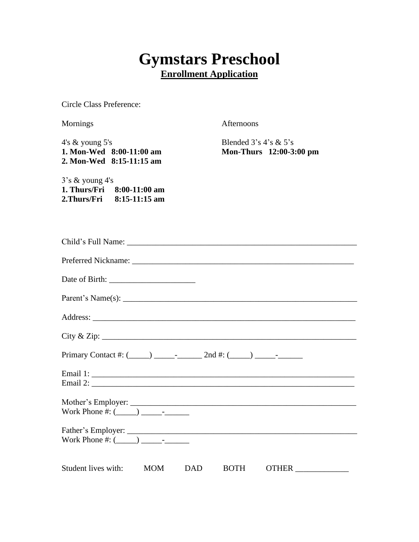# **Gymstars Preschool Enrollment Application**

Circle Class Preference:

Mornings Afternoons

4's & young 5's **1. Mon-Wed 8:00-11:00 am 2. Mon-Wed 8:15-11:15 am**

Blended 3's 4's & 5's **Mon-Thurs 12:00-3:00 pm**

3's & young 4's **1. Thurs/Fri 8:00-11:00 am 2.Thurs/Fri 8:15-11:15 am**

| City & Zip:                                                          |
|----------------------------------------------------------------------|
|                                                                      |
|                                                                      |
|                                                                      |
|                                                                      |
| Student lives with: MOM DAD<br>OTHER ________________<br><b>BOTH</b> |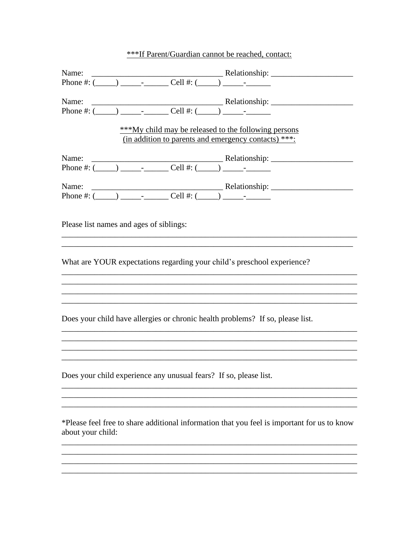| ***If Parent/Guardian cannot be reached, contact: |
|---------------------------------------------------|
|---------------------------------------------------|

|                                                                                                                                                                                                                                                                                                                                                                                                                                                                                                                                                                                                                                                                                                                                                                                                                                                                                                      | ***My child may be released to the following persons<br>(in addition to parents and emergency contacts) ***: |
|------------------------------------------------------------------------------------------------------------------------------------------------------------------------------------------------------------------------------------------------------------------------------------------------------------------------------------------------------------------------------------------------------------------------------------------------------------------------------------------------------------------------------------------------------------------------------------------------------------------------------------------------------------------------------------------------------------------------------------------------------------------------------------------------------------------------------------------------------------------------------------------------------|--------------------------------------------------------------------------------------------------------------|
| Name: $\frac{\text{Relative area: } \frac{1}{2} \cdot \text{P}(\frac{1}{2} \cdot \text{P}(\frac{1}{2} \cdot \text{P}(\frac{1}{2} \cdot \text{P}(\frac{1}{2} \cdot \text{P}(\frac{1}{2} \cdot \text{P}(\frac{1}{2} \cdot \text{P}(\frac{1}{2} \cdot \text{P}(\frac{1}{2} \cdot \text{P}(\frac{1}{2} \cdot \text{P}(\frac{1}{2} \cdot \text{P}(\frac{1}{2} \cdot \text{P}(\frac{1}{2} \cdot \text{P}(\frac{1}{2} \cdot \text{P}(\frac{1}{2} \cdot$<br>Name: $\frac{\text{Relative area: } \frac{1}{2} \cdot \text{P}(\frac{1}{2} \cdot \text{P}(\frac{1}{2} \cdot \text{P}(\frac{1}{2} \cdot \text{P}(\frac{1}{2} \cdot \text{P}(\frac{1}{2} \cdot \text{P}(\frac{1}{2} \cdot \text{P}(\frac{1}{2} \cdot \text{P}(\frac{1}{2} \cdot \text{P}(\frac{1}{2} \cdot \text{P}(\frac{1}{2} \cdot \text{P}(\frac{1}{2} \cdot \text{P}(\frac{1}{2} \cdot \text{P}(\frac{1}{2} \cdot \text{P}(\frac{1}{2} \cdot$ |                                                                                                              |
|                                                                                                                                                                                                                                                                                                                                                                                                                                                                                                                                                                                                                                                                                                                                                                                                                                                                                                      |                                                                                                              |
| Please list names and ages of siblings:                                                                                                                                                                                                                                                                                                                                                                                                                                                                                                                                                                                                                                                                                                                                                                                                                                                              |                                                                                                              |
| What are YOUR expectations regarding your child's preschool experience?                                                                                                                                                                                                                                                                                                                                                                                                                                                                                                                                                                                                                                                                                                                                                                                                                              |                                                                                                              |
|                                                                                                                                                                                                                                                                                                                                                                                                                                                                                                                                                                                                                                                                                                                                                                                                                                                                                                      |                                                                                                              |
|                                                                                                                                                                                                                                                                                                                                                                                                                                                                                                                                                                                                                                                                                                                                                                                                                                                                                                      |                                                                                                              |
|                                                                                                                                                                                                                                                                                                                                                                                                                                                                                                                                                                                                                                                                                                                                                                                                                                                                                                      |                                                                                                              |
| Does your child have allergies or chronic health problems? If so, please list.                                                                                                                                                                                                                                                                                                                                                                                                                                                                                                                                                                                                                                                                                                                                                                                                                       |                                                                                                              |
|                                                                                                                                                                                                                                                                                                                                                                                                                                                                                                                                                                                                                                                                                                                                                                                                                                                                                                      |                                                                                                              |
|                                                                                                                                                                                                                                                                                                                                                                                                                                                                                                                                                                                                                                                                                                                                                                                                                                                                                                      |                                                                                                              |
| Does your child experience any unusual fears? If so, please list.                                                                                                                                                                                                                                                                                                                                                                                                                                                                                                                                                                                                                                                                                                                                                                                                                                    |                                                                                                              |
|                                                                                                                                                                                                                                                                                                                                                                                                                                                                                                                                                                                                                                                                                                                                                                                                                                                                                                      |                                                                                                              |
| about your child:                                                                                                                                                                                                                                                                                                                                                                                                                                                                                                                                                                                                                                                                                                                                                                                                                                                                                    | *Please feel free to share additional information that you feel is important for us to know                  |
|                                                                                                                                                                                                                                                                                                                                                                                                                                                                                                                                                                                                                                                                                                                                                                                                                                                                                                      |                                                                                                              |
|                                                                                                                                                                                                                                                                                                                                                                                                                                                                                                                                                                                                                                                                                                                                                                                                                                                                                                      |                                                                                                              |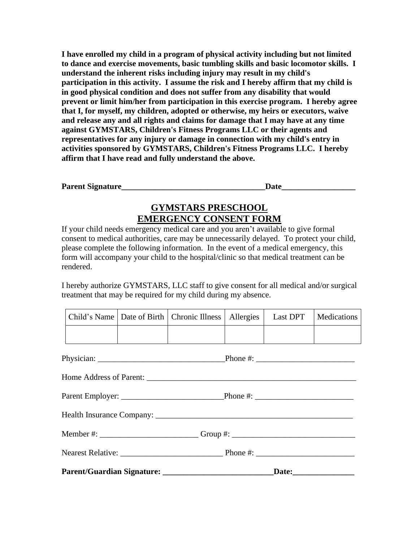**I have enrolled my child in a program of physical activity including but not limited to dance and exercise movements, basic tumbling skills and basic locomotor skills. I understand the inherent risks including injury may result in my child's participation in this activity. I assume the risk and I hereby affirm that my child is in good physical condition and does not suffer from any disability that would prevent or limit him/her from participation in this exercise program. I hereby agree that I, for myself, my children, adopted or otherwise, my heirs or executors, waive and release any and all rights and claims for damage that I may have at any time against GYMSTARS, Children's Fitness Programs LLC or their agents and representatives for any injury or damage in connection with my child's entry in activities sponsored by GYMSTARS, Children's Fitness Programs LLC. I hereby affirm that I have read and fully understand the above.**

| <b>Parent Signature</b> |  |
|-------------------------|--|
|                         |  |

# **GYMSTARS PRESCHOOL EMERGENCY CONSENT FORM**

If your child needs emergency medical care and you aren't available to give formal consent to medical authorities, care may be unnecessarily delayed. To protect your child, please complete the following information. In the event of a medical emergency, this form will accompany your child to the hospital/clinic so that medical treatment can be rendered.

I hereby authorize GYMSTARS, LLC staff to give consent for all medical and/or surgical treatment that may be required for my child during my absence.

|                                                                                  |  | Child's Name   Date of Birth   Chronic Illness | Allergies | Last DPT | Medications |
|----------------------------------------------------------------------------------|--|------------------------------------------------|-----------|----------|-------------|
|                                                                                  |  |                                                |           |          |             |
|                                                                                  |  |                                                |           |          |             |
|                                                                                  |  |                                                |           |          |             |
|                                                                                  |  |                                                |           |          |             |
|                                                                                  |  |                                                |           |          |             |
| Member #: ______________________________Group #: _______________________________ |  |                                                |           |          |             |
|                                                                                  |  |                                                |           |          |             |
|                                                                                  |  |                                                |           |          |             |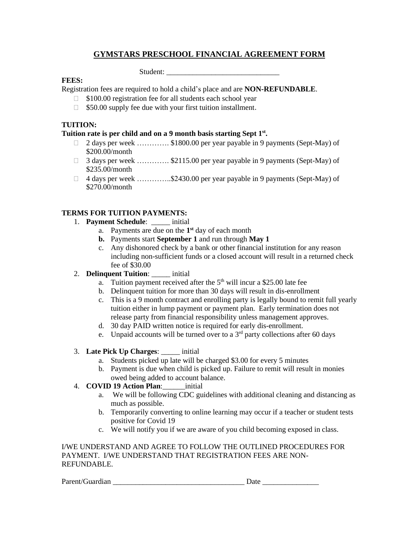# **GYMSTARS PRESCHOOL FINANCIAL AGREEMENT FORM**

Student:

## **FEES:**

Registration fees are required to hold a child's place and are **NON-REFUNDABLE**.

- $\Box$  \$100.00 registration fee for all students each school year
- $\Box$  \$50.00 supply fee due with your first tuition installment.

## **TUITION:**

### **Tuition rate is per child and on a 9 month basis starting Sept 1 st .**

- $\Box$  2 days per week …………. \$1800.00 per year payable in 9 payments (Sept-May) of \$200.00/month
- □ 3 days per week ……………… \$2115.00 per year payable in 9 payments (Sept-May) of \$235.00/month
- $\Box$  4 days per week ..............\$2430.00 per year payable in 9 payments (Sept-May) of \$270.00/month

# **TERMS FOR TUITION PAYMENTS:**

- 1. **Payment Schedule**: \_\_\_\_\_ initial
	- a. Payments are due on the **1 st** day of each month
	- **b.** Payments start **September 1** and run through **May 1**
	- c. Any dishonored check by a bank or other financial institution for any reason including non-sufficient funds or a closed account will result in a returned check fee of \$30.00

## 2. **Delinquent Tuition**: \_\_\_\_\_ initial

- a. Tuition payment received after the  $5<sup>th</sup>$  will incur a \$25.00 late fee
- b. Delinquent tuition for more than 30 days will result in dis-enrollment
- c. This is a 9 month contract and enrolling party is legally bound to remit full yearly tuition either in lump payment or payment plan. Early termination does not release party from financial responsibility unless management approves.
- d. 30 day PAID written notice is required for early dis-enrollment.
- e. Unpaid accounts will be turned over to a  $3<sup>rd</sup>$  party collections after 60 days
- 3. **Late Pick Up Charges**: \_\_\_\_\_ initial
	- a. Students picked up late will be charged \$3.00 for every 5 minutes
	- b. Payment is due when child is picked up. Failure to remit will result in monies owed being added to account balance.

## 4. **COVID 19 Action Plan**:\_\_\_\_\_\_initial

- a. We will be following CDC guidelines with additional cleaning and distancing as much as possible.
- b. Temporarily converting to online learning may occur if a teacher or student tests positive for Covid 19
- c. We will notify you if we are aware of you child becoming exposed in class.

#### I/WE UNDERSTAND AND AGREE TO FOLLOW THE OUTLINED PROCEDURES FOR PAYMENT. I/WE UNDERSTAND THAT REGISTRATION FEES ARE NON-REFUNDABLE.

Parent/Guardian Date Date Date